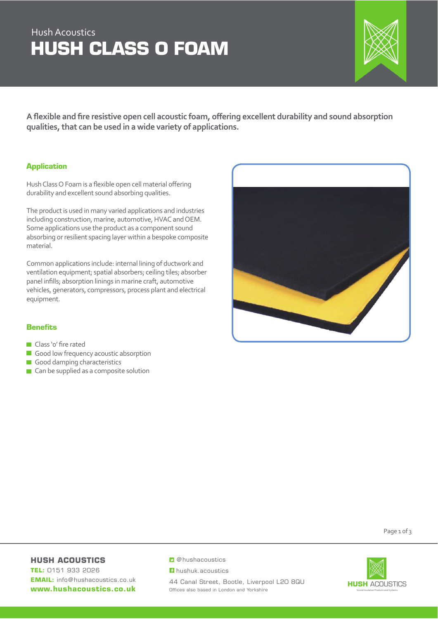## SIDERISE 'VERSTE 'VERSTE 'VERSTE 'VERSTE 'VERSTE 'VERSTE 'VERSTE 'V Hush Acoustics **HUSH CLASS O FOAM**



A flexible and fire resistive open cell acoustic foam, offering excellent durability and sound absorption **qualities, that can be used in a wide variety of applications.**

#### **SIDERIST 'V' series acoustic foam is a flexible open cell and is a flexible open cell and is a flexible open cell**

Hush Class O Foam is a flexible open cell material offering  $T_{\rm eff}$  is used in many varied applications and  $T_{\rm eff}$ durability and excellent sound absorbing qualities.

The product is used in many varied applications and industries and OEM. including construction, marine, automotive, HVAC and OEM. Some applications use the product as a component sound Some applications use the product as a component sound absorbing or resilient spacing layer within a bespoke absorbing or resilient spacing layer within a bespoke composite material.

Common applications include: internal lining of ductwork Common applications include: internal lining of ductwork and ventilation equipment; spatial absorbers; ceiling tiles; absorber panel infills, absorption linings in marine craft, automotive automotive compressors, process plant and electrical vehicles, generators, compressors, process plant and electrical<br>cautionsers equipment.



#### • Class '0' fire rated **Benefits**

- Class 'o' fire rated
- Good low frequency acoustic absorption
- Good damping characteristics
- **Can be supplied as a composite solution**

Page 1 of 3

#### **HUSH ACOUSTICS**

**TEL:** 0151 933 2026 **EMAIL:** info@hushacoustics.co.uk **www.hushacoustics.co.uk**

#### **D** @hushacoustics

**f** hushuk.acoustics

44 Canal Street, Bootle, Liverpool L20 8QU Offices also based in London and Yorkshire

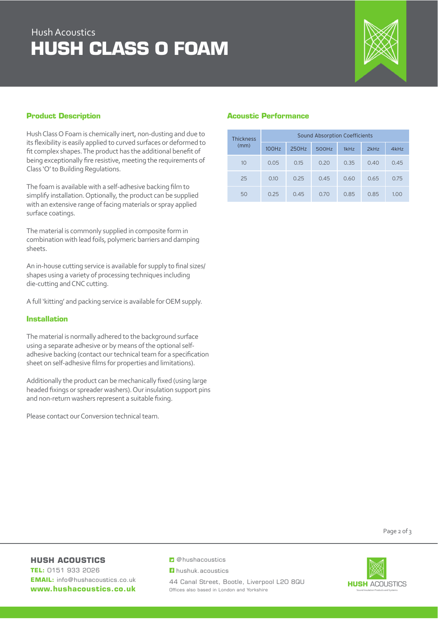# **HUSH CLASS O FOAM August 2014, ISSUE 1** Hush Acoustics



### **Product Description is chemically inertially inertially inertially inertially intertially intertially in**

Hush Class O Foam is chemically inert, non-dusting and due to its flexibility is easily applied to curved surfaces or deformed to fit complex shapes. The product has the additional benefit of being exceptionally fire resistive, meeting the requirements of  $\overline{C}$  is available with a self-adhesive backing film to backing film to backing film to backing film to backing film to backing film to backing film to backing film to backing film to backing film to backing film to ba Class 'O' to Building Regulations.

The foam is available with a self-adhesive backing film to with an extensive range of facing materials or spray applied simplify installation. Optionally, the product can be supplied surface can be supplied with an extensive range of facing materials or spray applied  $\alpha$  commonly supplied in component in composite form  $\alpha$ surface coatings.

in combi-nation with lead foils, polymeric barriers and The material is commonly supplied in composite form in  $\mathcal{A}$  is available for supply to finally to finally to finally to finally to finally to finally to finally to finally to finally to finally to finally the supply to finally to finally the supply to finally the supply t combination with lead foils, polymeric barriers and damping sheets.

An in-house cutting service is available for supply to final sizes/ die-cutting and CNC cutting. shapes using a variety of processing techniques including

A full 'kitting' and packing service is available for OEM supply.

## Installation **Installation**

The material is normally adhered to the background surface The material is normally adhered to the background surface using a separate adhesive or by means of the optional selfadhesive backing (contact our technical team for a specification sheet on self-adhesive films for properties and limitations).

Additionally the product can be mechanically fixed (using Additionally the product can be mechanically fi xed (using large headed fixings or spreader washers). Our insulation support pins and non-return washers represent a suitable fixing.

Please contact our Conversion technical team.

#### **Acoustic Performance**

| <b>Thickness</b><br>(mm) | <b>Sound Absorption Coefficients</b> |       |       |      |      |      |
|--------------------------|--------------------------------------|-------|-------|------|------|------|
|                          | 100Hz                                | 250Hz | 500Hz | 1kHz | 2kHz | 4kHz |
| 10                       | 0.05                                 | 0.15  | 0.20  | 0.35 | 0.40 | 0.45 |
| 25                       | 0.10                                 | 0.25  | 0.45  | 0.60 | 0.65 | 0.75 |
| 50                       | 0.25                                 | 0.45  | 0.70  | 0.85 | 0.85 | 1.00 |

Page 2 of 3

Page 2 of 3

#### **HUSH ACOUSTICS**

**TEL:** 0151 933 2026 **EMAIL:** info@hushacoustics.co.uk **www.hushacoustics.co.uk**

#### **D** @hushacoustics

f hushuk.acoustics

Siderise Group, Lady Lane Industrial Estate, Hadleigh, Suffolk, UK, IP7 6BQ

44 Canal Street, Bootle, Liverpool L20 8QU Offices also based in London and Yorkshire